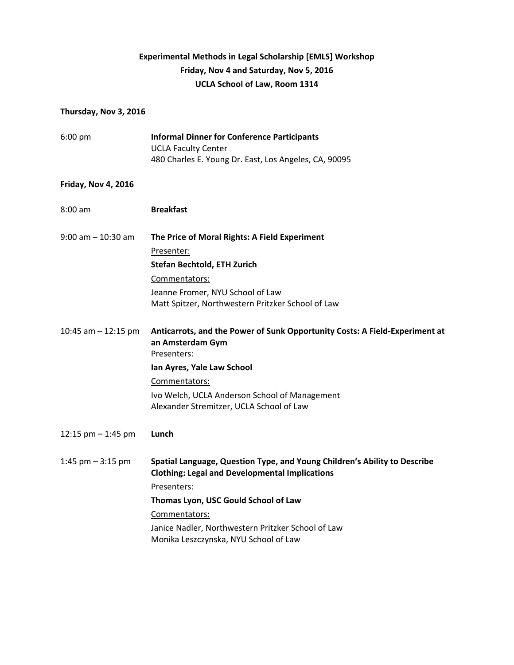## **Experimental Methods in Legal Scholarship [EMLS] Workshop Friday, Nov 4 and Saturday, Nov 5, 2016 UCLA School of Law, Room 1314**

## **Thursday, Nov 3, 2016**

| $6:00$ pm                  | <b>Informal Dinner for Conference Participants</b><br><b>UCLA Faculty Center</b><br>480 Charles E. Young Dr. East, Los Angeles, CA, 90095 |
|----------------------------|-------------------------------------------------------------------------------------------------------------------------------------------|
| <b>Friday, Nov 4, 2016</b> |                                                                                                                                           |
| $8:00$ am                  | <b>Breakfast</b>                                                                                                                          |
| $9:00$ am $-10:30$ am      | The Price of Moral Rights: A Field Experiment                                                                                             |
|                            | Presenter:                                                                                                                                |
|                            | <b>Stefan Bechtold, ETH Zurich</b>                                                                                                        |
|                            | Commentators:                                                                                                                             |
|                            | Jeanne Fromer, NYU School of Law<br>Matt Spitzer, Northwestern Pritzker School of Law                                                     |
| 10:45 am $-$ 12:15 pm      | Anticarrots, and the Power of Sunk Opportunity Costs: A Field-Experiment at<br>an Amsterdam Gym<br>Presenters:                            |
|                            | Ian Ayres, Yale Law School                                                                                                                |
|                            | Commentators:                                                                                                                             |
|                            | Ivo Welch, UCLA Anderson School of Management<br>Alexander Stremitzer, UCLA School of Law                                                 |
| 12:15 pm $-$ 1:45 pm       | Lunch                                                                                                                                     |
| 1:45 $pm - 3:15$ pm        | Spatial Language, Question Type, and Young Children's Ability to Describe<br><b>Clothing: Legal and Developmental Implications</b>        |
|                            | Presenters:                                                                                                                               |
|                            | Thomas Lyon, USC Gould School of Law                                                                                                      |
|                            | Commentators:                                                                                                                             |
|                            | Janice Nadler, Northwestern Pritzker School of Law<br>Monika Leszczynska, NYU School of Law                                               |
|                            |                                                                                                                                           |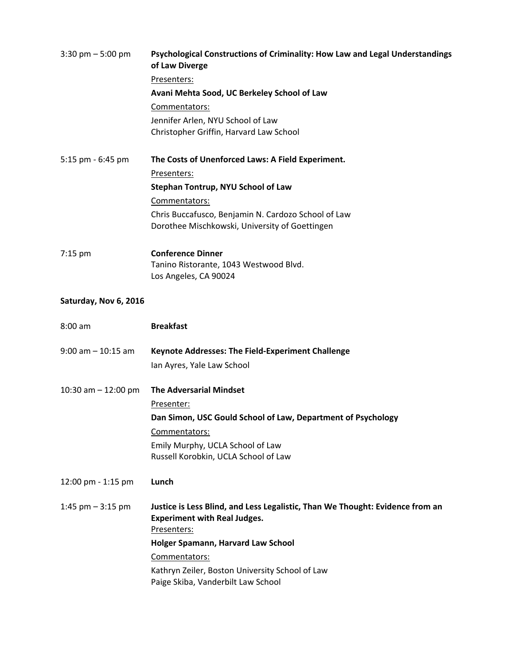| $3:30 \text{ pm} - 5:00 \text{ pm}$ | Psychological Constructions of Criminality: How Law and Legal Understandings<br>of Law Diverge                                      |
|-------------------------------------|-------------------------------------------------------------------------------------------------------------------------------------|
|                                     | Presenters:                                                                                                                         |
|                                     | Avani Mehta Sood, UC Berkeley School of Law                                                                                         |
|                                     | Commentators:                                                                                                                       |
|                                     | Jennifer Arlen, NYU School of Law                                                                                                   |
|                                     | Christopher Griffin, Harvard Law School                                                                                             |
| 5:15 pm - 6:45 pm                   | The Costs of Unenforced Laws: A Field Experiment.                                                                                   |
|                                     | Presenters:                                                                                                                         |
|                                     | Stephan Tontrup, NYU School of Law                                                                                                  |
|                                     | Commentators:                                                                                                                       |
|                                     | Chris Buccafusco, Benjamin N. Cardozo School of Law                                                                                 |
|                                     | Dorothee Mischkowski, University of Goettingen                                                                                      |
| $7:15$ pm                           | <b>Conference Dinner</b>                                                                                                            |
|                                     | Tanino Ristorante, 1043 Westwood Blvd.                                                                                              |
|                                     | Los Angeles, CA 90024                                                                                                               |
| Saturday, Nov 6, 2016               |                                                                                                                                     |
|                                     |                                                                                                                                     |
| $8:00$ am                           | <b>Breakfast</b>                                                                                                                    |
| $9:00$ am $-10:15$ am               | <b>Keynote Addresses: The Field-Experiment Challenge</b>                                                                            |
|                                     | Ian Ayres, Yale Law School                                                                                                          |
| 10:30 am $-$ 12:00 pm               | <b>The Adversarial Mindset</b>                                                                                                      |
|                                     | Presenter:                                                                                                                          |
|                                     | Dan Simon, USC Gould School of Law, Department of Psychology                                                                        |
|                                     | Commentators:                                                                                                                       |
|                                     | Emily Murphy, UCLA School of Law                                                                                                    |
|                                     | Russell Korobkin, UCLA School of Law                                                                                                |
| 12:00 pm - 1:15 pm                  | Lunch                                                                                                                               |
| 1:45 pm $-$ 3:15 pm                 | Justice is Less Blind, and Less Legalistic, Than We Thought: Evidence from an<br><b>Experiment with Real Judges.</b><br>Presenters: |
|                                     | Holger Spamann, Harvard Law School                                                                                                  |
|                                     | Commentators:                                                                                                                       |
|                                     | Kathryn Zeiler, Boston University School of Law                                                                                     |